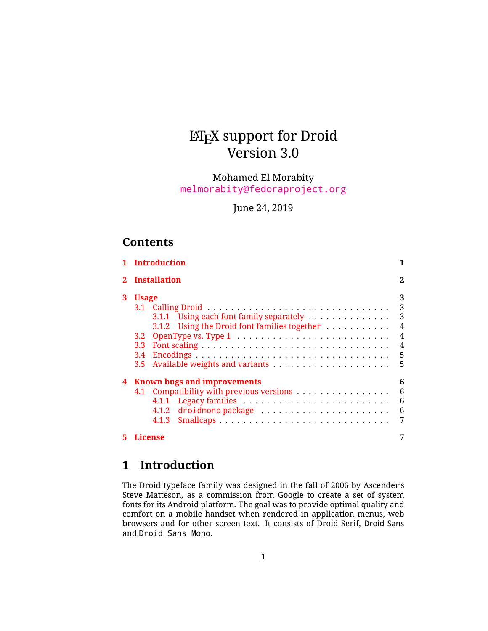# LATEX support for Droid Version 3.0

Mohamed El Morabity [melmorabity@fedoraproject.org](mailto:melmorabity@fedoraproject.org)

June 24, 2019

## **Contents**

|   | <b>Introduction</b>                                                                                       |                                    |
|---|-----------------------------------------------------------------------------------------------------------|------------------------------------|
|   | <b>Installation</b>                                                                                       | 2                                  |
| 3 | <b>Usage</b><br>3.1.1 Using each font family separately                                                   | 3<br>3<br>3                        |
|   | 3.1.2 Using the Droid font families together<br>3.2 <sub>1</sub><br>3.3<br>3.4<br>3.5                     | $\overline{4}$<br>4<br>4<br>5<br>5 |
| 4 | <b>Known bugs and improvements</b><br>4.1 Compatibility with previous versions<br>4.1.2 droidmono package | 6<br>6<br>6<br>6<br>7              |
| 5 | License                                                                                                   | 7                                  |

## <span id="page-0-0"></span>**1 Introduction**

The Droid typeface family was designed in the fall of 2006 by Ascender's Steve Matteson, as a commission from Google to create a set of system fonts for its Android platform. The goal was to provide optimal quality and comfort on a mobile handset when rendered in application menus, web browsers and for other screen text. It consists of Droid Serif, Droid Sans and Droid Sans Mono.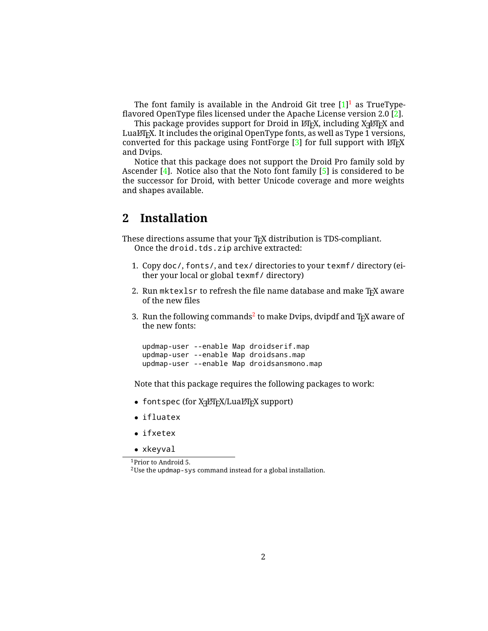The font family is available in the Android Git tree  $[1]^1$  $[1]^1$  $[1]^1$  as TrueTypeflavored OpenType files licensed under the Apache License version 2.0 [\[2\]](#page-6-3).

This package provides support for Droid in LT<sub>E</sub>X, including X $\rm _H$ ETEX and LuaLTFX. It includes the original OpenType fonts, as well as Type 1 versions, converted for this package using FontForge  $[3]$  for full support with  $\mathbb{F}$ FEX and Dvips.

Notice that this package does not support the Droid Pro family sold by Ascender  $[4]$ . Notice also that the Noto font family  $[5]$  is considered to be the successor for Droid, with better Unicode coverage and more weights and shapes available.

### <span id="page-1-0"></span>**2 Installation**

These directions assume that your T<sub>F</sub>X distribution is TDS-compliant. Once the droid.tds.zip archive extracted:

- 1. Copy doc/, fonts/, and tex/ directories to your texmf/ directory (either your local or global texmf/ directory)
- 2. Run mktexlsr to refresh the file name database and make TEX aware of the new files
- 3. Run the following commands $^2$  $^2$  to make Dvips, dvipdf and T<sub>E</sub>X aware of the new fonts:

updmap-user --enable Map droidserif.map updmap-user --enable Map droidsans.map updmap-user --enable Map droidsansmono.map

Note that this package requires the following packages to work:

- $\bullet\,$  font spec (for X $\exists$ L $\mathbb{F}$ K $/$ Lual $\mathbb{F}$ F $\mathbb{F}$  support)
- ifluatex
- ifxetex
- xkeyval

<span id="page-1-1"></span><sup>1</sup>Prior to Android 5.

<span id="page-1-2"></span> $^2$ Use the updmap-sys command instead for a global installation.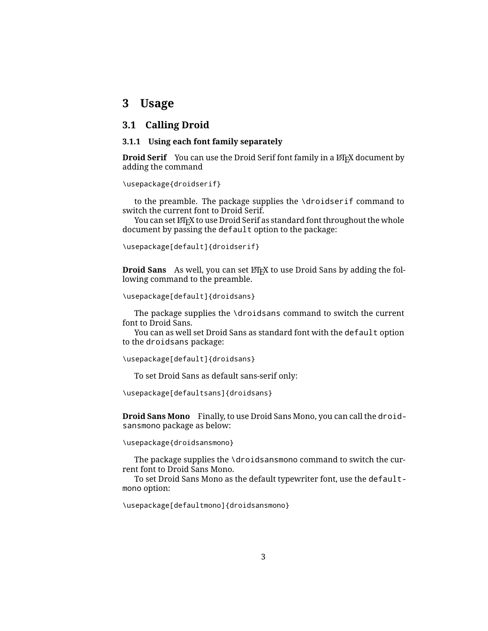### <span id="page-2-0"></span>**3 Usage**

#### <span id="page-2-1"></span>**3.1 Calling Droid**

#### <span id="page-2-2"></span>**3.1.1 Using each font family separately**

**Droid Serif** You can use the Droid Serif font family in a LAT<sub>E</sub>X document by adding the command

\usepackage{droidserif}

to the preamble. The package supplies the \droidserif command to switch the current font to Droid Serif.

You can set LATEX to use Droid Serif as standard font throughout the whole document by passing the default option to the package:

```
\usepackage[default]{droidserif}
```
**Droid Sans** As well, you can set LAT<sub>E</sub>X to use Droid Sans by adding the following command to the preamble.

\usepackage[default]{droidsans}

The package supplies the \droidsans command to switch the current font to Droid Sans.

You can as well set Droid Sans as standard font with the default option to the droidsans package:

\usepackage[default]{droidsans}

To set Droid Sans as default sans-serif only:

\usepackage[defaultsans]{droidsans}

**Droid Sans Mono** Finally, to use Droid Sans Mono, you can call the droidsansmono package as below:

\usepackage{droidsansmono}

The package supplies the \droidsansmono command to switch the current font to Droid Sans Mono.

To set Droid Sans Mono as the default typewriter font, use the defaultmono option:

\usepackage[defaultmono]{droidsansmono}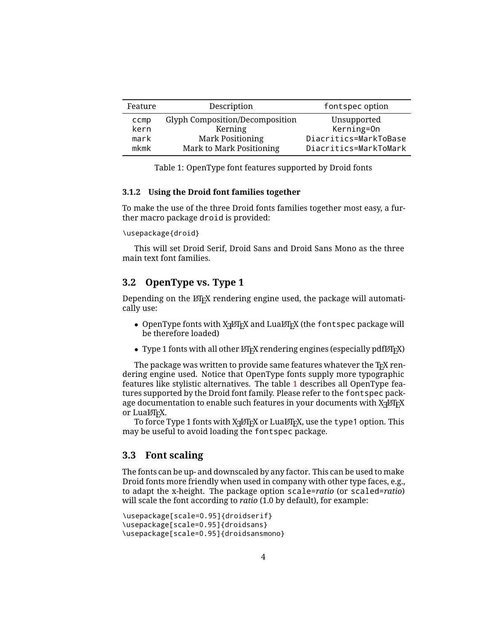| Feature | Description                     | font spec option      |
|---------|---------------------------------|-----------------------|
| ccmp    | Glyph Composition/Decomposition | Unsupported           |
| kern    | Kerning                         | Kerning=On            |
| mark    | <b>Mark Positioning</b>         | Diacritics=MarkToBase |
| mkmk    | Mark to Mark Positioning        | Diacritics=MarkToMark |

<span id="page-3-3"></span>Table 1: OpenType font features supported by Droid fonts

#### <span id="page-3-0"></span>**3.1.2 Using the Droid font families together**

To make the use of the three Droid fonts families together most easy, a further macro package droid is provided:

\usepackage{droid}

This will set Droid Serif, Droid Sans and Droid Sans Mono as the three main text font families.

#### <span id="page-3-1"></span>**3.2 OpenType vs. Type 1**

Depending on the  $\mathbb{F}$ <sub>TEX</sub> rendering engine used, the package will automatically use:

- $\bullet$  OpenType fonts with X $\frac{1}{2}$ AT $\frac{1}{2}$ X and LuaLT $\frac{1}{2}$ X (the <code>fontspec</code> package will be therefore loaded)
- Type 1 fonts with all other  $\mathbb{F}$ FX rendering engines (especially pdf $\mathbb{F}$ FX)

The package was written to provide same features whatever the T<sub>E</sub>X rendering engine used. Notice that OpenType fonts supply more typographic features like stylistic alternatives. The table [1](#page-3-3) describes all OpenType features supported by the Droid font family. Please refer to the fontspec package documentation to enable such features in your documents with  $\mathrm{X}_\mathrm{I}$ eT $\mathrm{F}\mathrm{X}$ or LuaLTFX.

To force Type 1 fonts with XનુAFEX or LualAFEX, use the <code>type1</code> option. This may be useful to avoid loading the fontspec package.

#### <span id="page-3-2"></span>**3.3 Font scaling**

The fonts can be up- and downscaled by any factor. This can be used to make Droid fonts more friendly when used in company with other type faces, e.g., to adapt the x-height. The package option scale=*ratio* (or scaled=*ratio*) will scale the font according to *ratio* (1.0 by default), for example:

```
\usepackage[scale=0.95]{droidserif}
\usepackage[scale=0.95]{droidsans}
\usepackage[scale=0.95]{droidsansmono}
```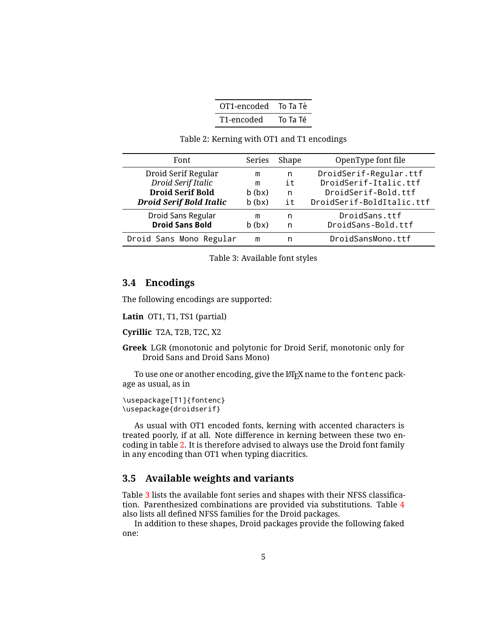<span id="page-4-2"></span>

| OT1-encoded | To Ta Té |
|-------------|----------|
| T1-encoded  | To Ta Té |

Table 2: Kerning with OT1 and T1 encodings

| Font                           | Series | Shape | OpenType font file        |
|--------------------------------|--------|-------|---------------------------|
| Droid Serif Regular            | m      | n     | DroidSerif-Regular.ttf    |
| Droid Serif Italic             | m      | i t   | DroidSerif-Italic.ttf     |
| <b>Droid Serif Bold</b>        | b(bx)  | n     | DroidSerif-Bold.ttf       |
| <b>Droid Serif Bold Italic</b> | b(bx)  | it    | DroidSerif-BoldItalic.ttf |
| Droid Sans Regular             | m      | n     | DroidSans.ttf             |
| <b>Droid Sans Bold</b>         | b(bx)  | n     | DroidSans-Bold.ttf        |
| Droid Sans Mono Regular        | m      | n     | DroidSansMono.ttf         |

<span id="page-4-3"></span>Table 3: Available font styles

#### <span id="page-4-0"></span>**3.4 Encodings**

The following encodings are supported:

**Latin** OT1, T1, TS1 (partial)

**Cyrillic** T2A, T2B, T2C, X2

**Greek** LGR (monotonic and polytonic for Droid Serif, monotonic only for Droid Sans and Droid Sans Mono)

To use one or another encoding, give the LAT<sub>E</sub>X name to the fontenc package as usual, as in

```
\usepackage[T1]{fontenc}
\usepackage{droidserif}
```
As usual with OT1 encoded fonts, kerning with accented characters is treated poorly, if at all. Note difference in kerning between these two encoding in table [2.](#page-4-2) It is therefore advised to always use the Droid font family in any encoding than OT1 when typing diacritics.

#### <span id="page-4-1"></span>**3.5 Available weights and variants**

Table [3](#page-4-3) lists the available font series and shapes with their NFSS classification. Parenthesized combinations are provided via substitutions. Table [4](#page-5-4) also lists all defined NFSS families for the Droid packages.

In addition to these shapes, Droid packages provide the following faked one: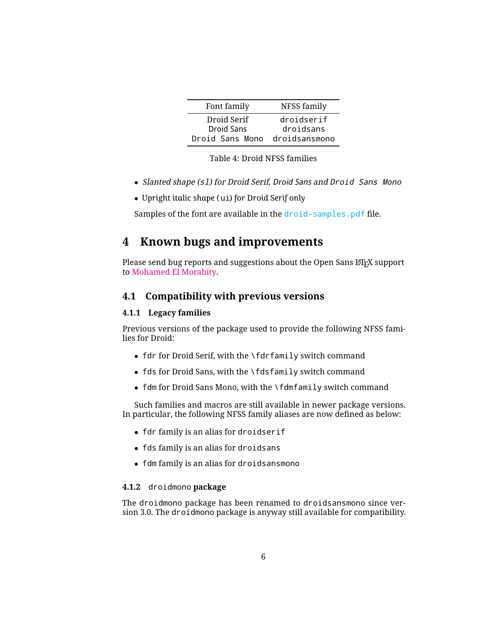| Font family       | NFSS family   |
|-------------------|---------------|
| Droid Serif       | droidserif    |
| <b>Droid Sans</b> | droidsans     |
| Droid Sans Mono   | droidsansmono |

<span id="page-5-4"></span>

- Slanted shape (s1) for Droid Serif, Droid Sans and Droid Sans Mono
- *Upright italic shape (*ui*) for Droid Serif only*

Samples of the font are available in the droid-samples.pdf file.

## <span id="page-5-0"></span>**4 Known bugs and improvements**

Please send bug reports and suggestions about the Open Sans LATEX support to [Mohamed El Morabity.](mailto:melmorabity@fedoraproject.org)

#### <span id="page-5-1"></span>**4.1 Compatibility with previous versions**

#### <span id="page-5-2"></span>**4.1.1 Legacy families**

Previous versions of the package used to provide the following NFSS families for Droid:

- fdr for Droid Serif, with the \fdrfamily switch command
- fds for Droid Sans, with the \fdsfamily switch command
- fdm for Droid Sans Mono, with the \fdmfamily switch command

Such families and macros are still available in newer package versions. In particular, the following NFSS family aliases are now defined as below:

- fdr family is an alias for droidserif
- fds family is an alias for droidsans
- fdm family is an alias for droidsansmono

#### <span id="page-5-3"></span>**4.1.2** droidmono **package**

The droidmono package has been renamed to droidsansmono since version 3.0. The droidmono package is anyway still available for compatibility.